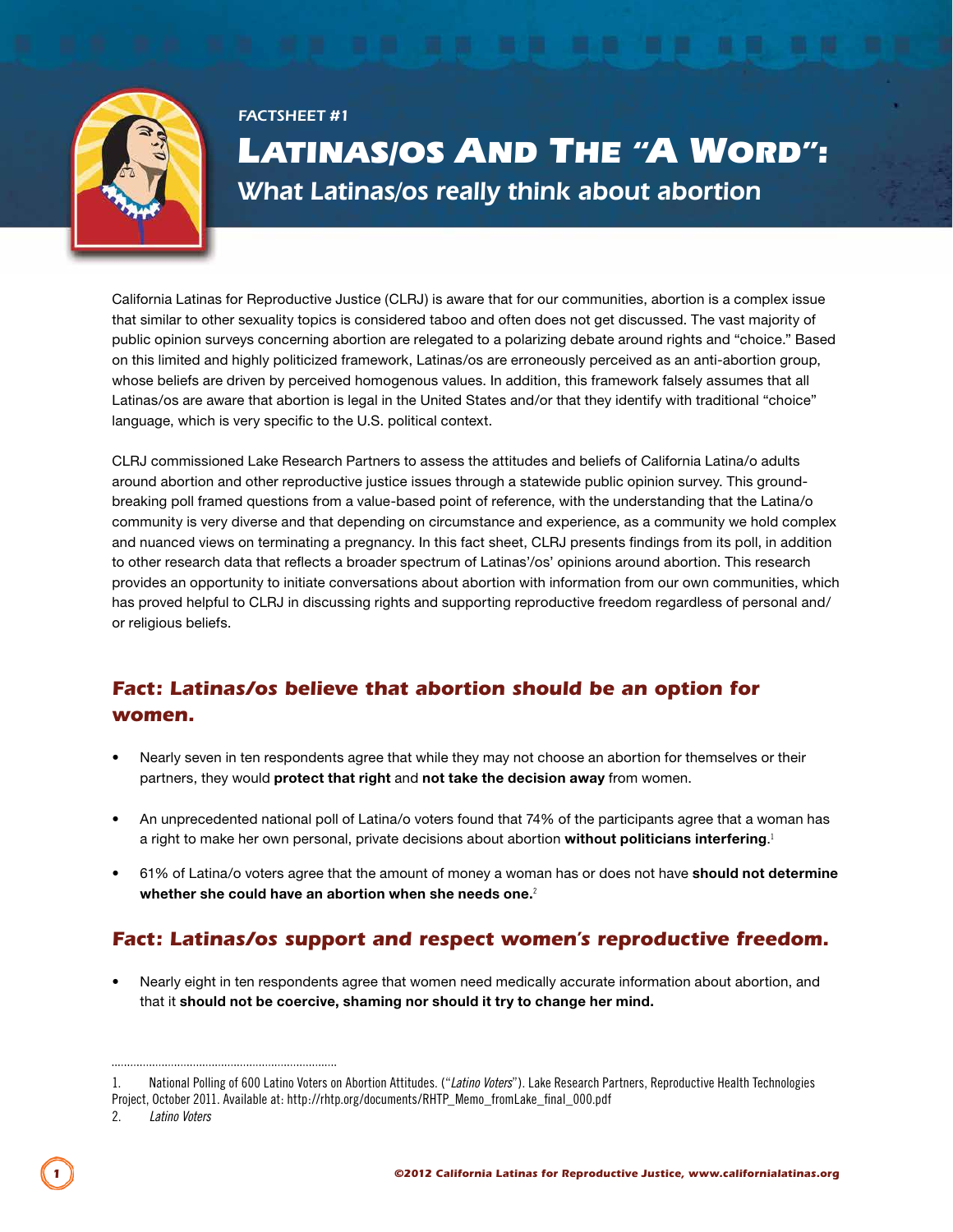

# *Factsheet #1*  LATINAS/OS AND THE "A WORD": What Latinas/os really think about abortion

California Latinas for Reproductive Justice (CLRJ) is aware that for our communities, abortion is a complex issue that similar to other sexuality topics is considered taboo and often does not get discussed. The vast majority of public opinion surveys concerning abortion are relegated to a polarizing debate around rights and "choice." Based on this limited and highly politicized framework, Latinas/os are erroneously perceived as an anti-abortion group, whose beliefs are driven by perceived homogenous values. In addition, this framework falsely assumes that all Latinas/os are aware that abortion is legal in the United States and/or that they identify with traditional "choice" language, which is very specific to the U.S. political context.

CLRJ commissioned Lake Research Partners to assess the attitudes and beliefs of California Latina/o adults around abortion and other reproductive justice issues through a statewide public opinion survey. This groundbreaking poll framed questions from a value-based point of reference, with the understanding that the Latina/o community is very diverse and that depending on circumstance and experience, as a community we hold complex and nuanced views on terminating a pregnancy. In this fact sheet, CLRJ presents findings from its poll, in addition to other research data that reflects a broader spectrum of Latinas'/os' opinions around abortion. This research provides an opportunity to initiate conversations about abortion with information from our own communities, which has proved helpful to CLRJ in discussing rights and supporting reproductive freedom regardless of personal and/ or religious beliefs.

### *Fact: Latinas/os believe that abortion should be an option for women.*

- Nearly seven in ten respondents agree that while they may not choose an abortion for themselves or their partners, they would **protect that right** and **not take the decision away** from women.
- An unprecedented national poll of Latina/o voters found that 74% of the participants agree that a woman has a right to make her own personal, private decisions about abortion **without politicians interfering**. 1
- 61% of Latina/o voters agree that the amount of money a woman has or does not have **should not determine whether she could have an abortion when she needs one.**<sup>2</sup>

## *Fact: Latinas/os support and respect women's reproductive freedom.*

• Nearly eight in ten respondents agree that women need medically accurate information about abortion, and that it **should not be coercive, shaming nor should it try to change her mind.**

<sup>1.</sup> National Polling of 600 Latino Voters on Abortion Attitudes. ("*Latino Voters*"). Lake Research Partners, Reproductive Health Technologies Project, October 2011. Available at: http://rhtp.org/documents/RHTP\_Memo\_fromLake\_final\_000.pdf

<sup>2.</sup> *Latino Voters*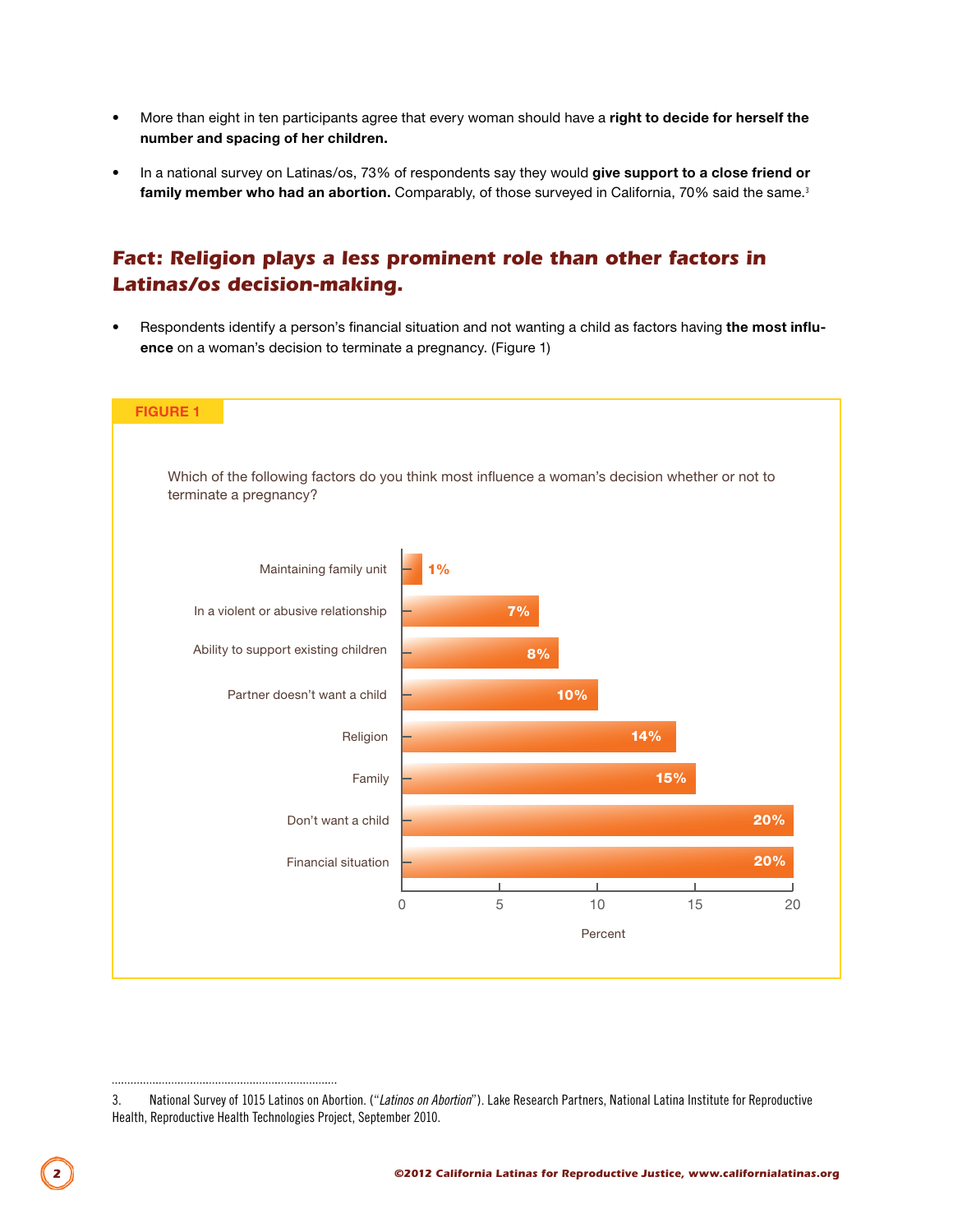- More than eight in ten participants agree that every woman should have a **right to decide for herself the number and spacing of her children.**
- In a national survey on Latinas/os, 73% of respondents say they would **give support to a close friend or**  family member who had an abortion. Comparably, of those surveyed in California, 70% said the same.<sup>3</sup>

#### *Fact: Religion plays a less prominent role than other factors in Latinas/os decision-making.*

• Respondents identify a person's financial situation and not wanting a child as factors having **the most influence** on a woman's decision to terminate a pregnancy. (Figure 1)



<sup>3.</sup> National Survey of 1015 Latinos on Abortion. ("*Latinos on Abortion*"). Lake Research Partners, National Latina Institute for Reproductive Health, Reproductive Health Technologies Project, September 2010.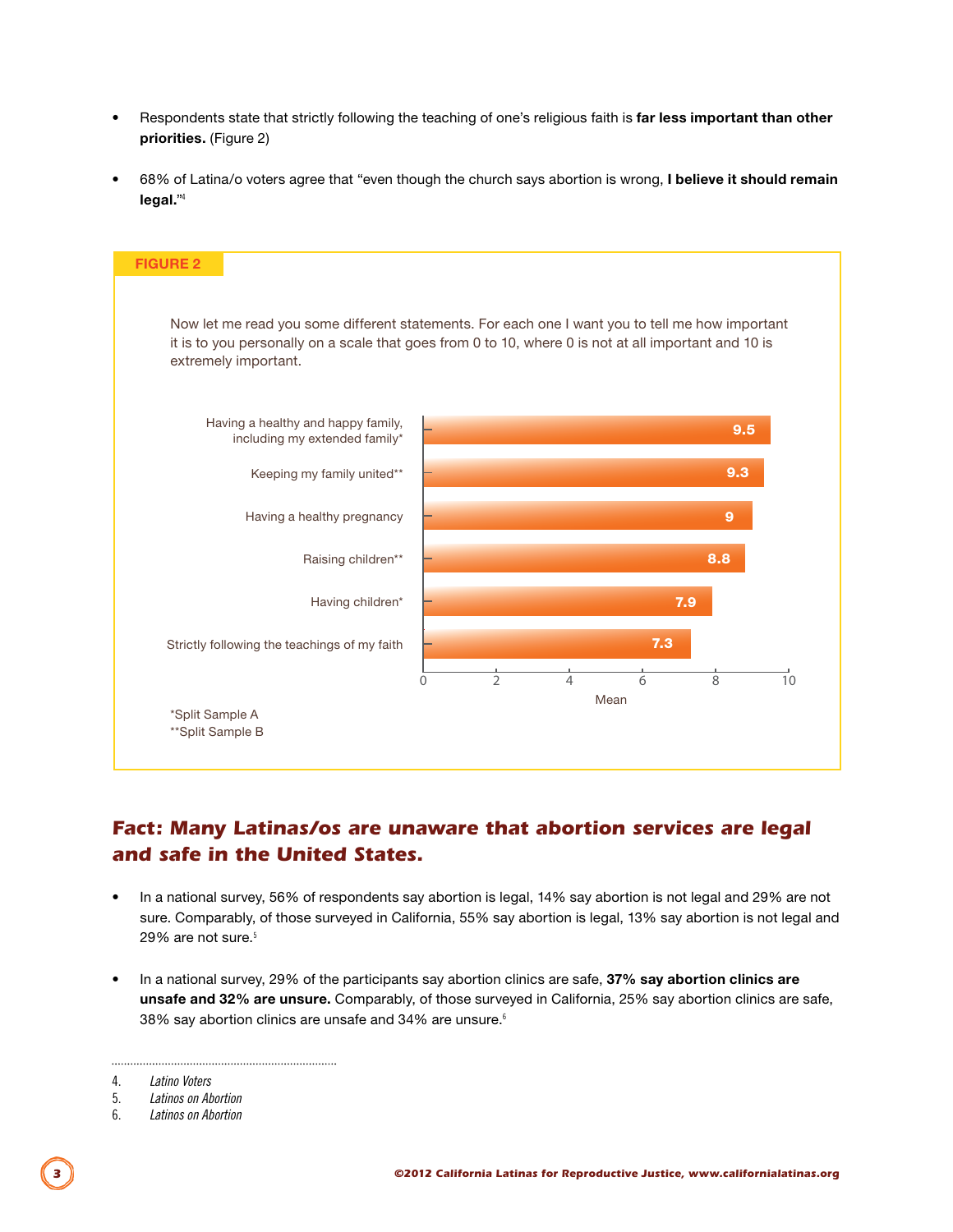- Respondents state that strictly following the teaching of one's religious faith is **far less important than other priorities.** (Figure 2)
- 68% of Latina/o voters agree that "even though the church says abortion is wrong, **I believe it should remain legal.**"<sup>4</sup>



## *Fact: Many Latinas/os are unaware that abortion services are legal and safe in the United States.*

- In a national survey, 56% of respondents say abortion is legal, 14% say abortion is not legal and 29% are not sure. Comparably, of those surveyed in California, 55% say abortion is legal, 13% say abortion is not legal and 29% are not sure.<sup>5</sup>
- In a national survey, 29% of the participants say abortion clinics are safe, **37% say abortion clinics are unsafe and 32% are unsure.** Comparably, of those surveyed in California, 25% say abortion clinics are safe, 38% say abortion clinics are unsafe and 34% are unsure.<sup>6</sup>

<sup>4.</sup> *Latino Voters*

<sup>5.</sup> *Latinos on Abortion*

<sup>6.</sup> *Latinos on Abortion*